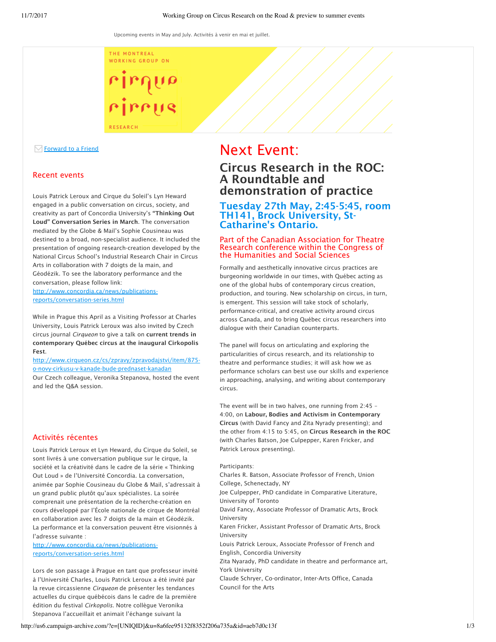THE MONTREAL WORKING GROUP ON

rinnus

**RESEARCH** 

## $⊓$  **Forward to a Friend**

## Recent events

Louis Patrick Leroux and Cirque du Soleil's Lyn Heward engaged in a public conversation on circus, society, and creativity as part of Concordia University's "Thinking Out Loud" Conversation Series in March. The conversation mediated by the Globe & Mail's Sophie Cousineau was destined to a broad, non-specialist audience. It included the presentation of ongoing research-creation developed by the National Circus School's Industrial Research Chair in Circus Arts in collaboration with 7 doigts de la main, and Géodézik. To see the laboratory performance and the conversation, please follow link: http://www.concordia.ca/news/publications-

reports/conversation-series.html

While in Prague this April as a Visiting Professor at Charles University, Louis Patrick Leroux was also invited by Czech circus journal *Cirqueon* to give a talk on current trends in contemporary Québec circus at the inaugural Cirkopolis Fest.

http://www.cirqueon.cz/cs/zpravy/zpravodajstvi/item/875 o-novy-cirkusu-v-kanade-bude-prednaset-kanadan

Our Czech colleague, Veronika Stepanova, hosted the event and led the Q&A session.

## Activités récentes

Louis Patrick Leroux et Lyn Heward, du Cirque du Soleil, se sont livrés à une conversation publique sur le cirque, la société et la créativité dans le cadre de la série « Thinking Out Loud » de l'Université Concordia. La conversation, animée par Sophie Cousineau du Globe & Mail, s'adressait à un grand public plutôt qu'aux spécialistes. La soirée comprenait une présentation de la recherche-création en cours développé par l'École nationale de cirque de Montréal en collaboration avec les 7 doigts de la main et Géodézik. La performance et la conversation peuvent être visionnés à l'adresse suivante :

http://www.concordia.ca/news/publicationsreports/conversation-series.html

Lors de son passage à Prague en tant que professeur invité à l'Université Charles, Louis Patrick Leroux a été invité par la revue circassienne *Cirqueon* de présenter les tendances actuelles du cirque québécois dans le cadre de la première édition du festival *Cirkopolis*. Notre collègue Veronika Stepanova l'accueillait et animait l'échange suivant la

# Next Event:

## Circus Research in the ROC: A Roundtable and demonstration of practice

## Tuesday 27th May, 2:45-5:45, room TH141, Brock University, St-Catharine's Ontario.

### Part of the Canadian Association for Theatre Research conference within the Congress of the Humanities and Social Sciences

Formally and aesthetically innovative circus practices are burgeoning worldwide in our times, with Québec acting as one of the global hubs of contemporary circus creation, production, and touring. New scholarship on circus, in turn, is emergent. This session will take stock of scholarly, performance-critical, and creative activity around circus across Canada, and to bring Québec circus researchers into dialogue with their Canadian counterparts.

The panel will focus on articulating and exploring the particularities of circus research, and its relationship to theatre and performance studies; it will ask how we as performance scholars can best use our skills and experience in approaching, analysing, and writing about contemporary circus.

The event will be in two halves, one running from 2:45 – 4:00, on Labour, Bodies and Activism in Contemporary Circus (with David Fancy and Zita Nyrady presenting); and the other from 4:15 to 5:45, on Circus Research in the ROC (with Charles Batson, Joe Culpepper, Karen Fricker, and Patrick Leroux presenting).

#### Participants:

Charles R. Batson, Associate Professor of French, Union College, Schenectady, NY

Joe Culpepper, PhD candidate in Comparative Literature, University of Toronto

David Fancy, Associate Professor of Dramatic Arts, Brock University

Karen Fricker, Assistant Professor of Dramatic Arts, Brock University

Louis Patrick Leroux, Associate Professor of French and English, Concordia University

Zita Nyarady, PhD candidate in theatre and performance art, York University

Claude Schryer, Co-ordinator, Inter-Arts Office, Canada Council for the Arts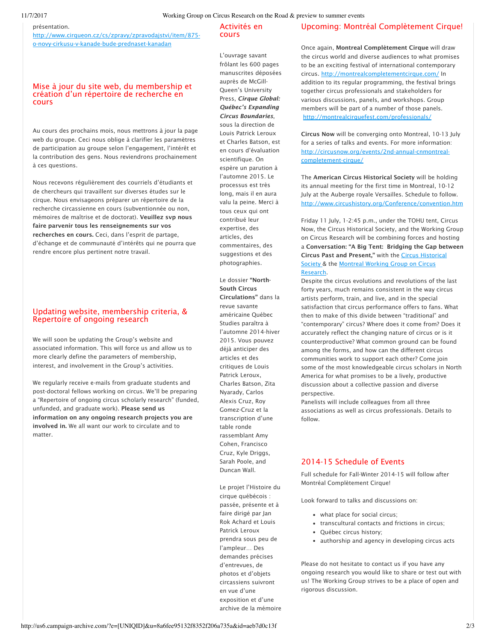#### présentation.

http://www.cirqueon.cz/cs/zpravy/zpravodajstvi/item/875 o-novy-cirkusu-v-kanade-bude-prednaset-kanadan

## Mise à jour du site web, du membership et création d'un répertoire de recherche en cours

Au cours des prochains mois, nous mettrons à jour la page web du groupe. Ceci nous oblige à clarifier les paramètres de participation au groupe selon l'engagement, l'intérêt et la contribution des gens. Nous reviendrons prochainement à ces questions.

Nous recevons régulièrement des courriels d'étudiants et de chercheurs qui travaillent sur diverses études sur le cirque. Nous envisageons préparer un répertoire de la recherche circassienne en cours (subventionnée ou non, mémoires de maîtrise et de doctorat). Veuillez svp nous faire parvenir tous les renseignements sur vos recherches en cours. Ceci, dans l'esprit de partage, d'échange et de communauté d'intérêts qui ne pourra que rendre encore plus pertinent notre travail.

## Updating website, membership criteria, & Repertoire of ongoing research

We will soon be updating the Group's website and associated information. This will force us and allow us to more clearly define the parameters of membership, interest, and involvement in the Group's activities.

We regularly receive e-mails from graduate students and post-doctoral fellows working on circus. We'll be preparing a "Repertoire of ongoing circus scholarly research" (funded, unfunded, and graduate work). Please send us information on any ongoing research projects you are involved in. We all want our work to circulate and to matter.

### Activités en cours

L'ouvrage savant frôlant les 600 pages manuscrites déposées auprès de McGill-Queen's University Press, *Cirque Global: Québec's Expanding Circus Boundaries*, sous la direction de Louis Patrick Leroux et Charles Batson, est en cours d'évaluation scientifique. On espère un parution à l'automne 2015. Le processus est très long, mais il en aura valu la peine. Merci à tous ceux qui ont contribué leur expertise, des articles, des commentaires, des suggestions et des photographies.

Le dossier "North-South Circus Circulations" dans la revue savante américaine Québec Studies paraîtra à l'automne 2014-hiver 2015. Vous pouvez déjà anticiper des articles et des critiques de Louis Patrick Leroux, Charles Batson, Zita Nyarady, Carlos Alexis Cruz, Roy Gomez-Cruz et la transcription d'une table ronde rassemblant Amy Cohen, Francisco Cruz, Kyle Driggs, Sarah Poole, and Duncan Wall.

Le projet l'Histoire du cirque québécois : passée, présente et à faire dirigé par Jan Rok Achard et Louis Patrick Leroux prendra sous peu de l'ampleur… Des demandes précises d'entrevues, de photos et d'objets circassiens suivront en vue d'une exposition et d'une archive de la mémoire

## Upcoming: Montréal Complètement Cirque!

Once again, Montreal Complètement Cirque will draw the circus world and diverse audiences to what promises to be an exciting festival of international contemporary circus. http://montrealcompletementcirque.com/ In addition to its regular programming, the festival brings together circus professionals and stakeholders for various discussions, panels, and workshops. Group members will be part of a number of those panels. http://montrealcirquefest.com/professionals/

Circus Now will be converging onto Montreal, 10-13 July for a series of talks and events. For more information: http://circusnow.org/events/2nd-annual-cnmontrealcompletement-cirque/

The American Circus Historical Society will be holding its annual meeting for the first time in Montreal, 10-12 July at the Auberge royale Versailles. Schedule to follow. http://www.circushistory.org/Conference/convention.htm

Friday 11 July, 1-2:45 p.m., under the TOHU tent, Circus Now, the Circus Historical Society, and the Working Group on Circus Research will be combining forces and hosting a Conversation: "A Big Tent: Bridging the Gap between Circus Past and Present," with the Circus Historical Society & the Montreal Working Group on Circus Research.

Despite the circus evolutions and revolutions of the last forty years, much remains consistent in the way circus artists perform, train, and live, and in the special satisfaction that circus performance offers to fans. What then to make of this divide between "traditional" and "contemporary" circus? Where does it come from? Does it accurately reflect the changing nature of circus or is it counterproductive? What common ground can be found among the forms, and how can the different circus communities work to support each other? Come join some of the most knowledgeable circus scholars in North America for what promises to be a lively, productive discussion about a collective passion and diverse perspective.

Panelists will include colleagues from all three associations as well as circus professionals. Details to follow.

## 2014-15 Schedule of Events

Full schedule for Fall-Winter 2014-15 will follow after Montréal Complètement Cirque!

Look forward to talks and discussions on:

- what place for social circus:
- transcultural contacts and frictions in circus:
- Ouébec circus history:
- authorship and agency in developing circus acts

Please do not hesitate to contact us if you have any ongoing research you would like to share or test out with us! The Working Group strives to be a place of open and rigorous discussion.